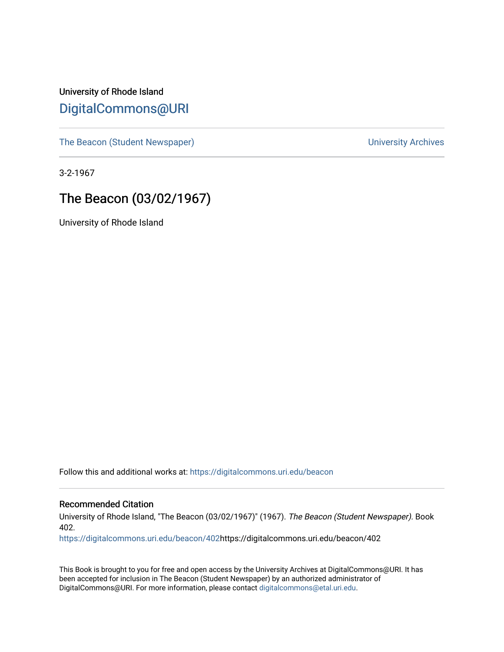### University of Rhode Island [DigitalCommons@URI](https://digitalcommons.uri.edu/)

[The Beacon \(Student Newspaper\)](https://digitalcommons.uri.edu/beacon) and the University Archives

3-2-1967

### The Beacon (03/02/1967)

University of Rhode Island

Follow this and additional works at: [https://digitalcommons.uri.edu/beacon](https://digitalcommons.uri.edu/beacon?utm_source=digitalcommons.uri.edu%2Fbeacon%2F402&utm_medium=PDF&utm_campaign=PDFCoverPages)

#### Recommended Citation

University of Rhode Island, "The Beacon (03/02/1967)" (1967). The Beacon (Student Newspaper). Book 402.

[https://digitalcommons.uri.edu/beacon/402](https://digitalcommons.uri.edu/beacon/402?utm_source=digitalcommons.uri.edu%2Fbeacon%2F402&utm_medium=PDF&utm_campaign=PDFCoverPages)https://digitalcommons.uri.edu/beacon/402

This Book is brought to you for free and open access by the University Archives at DigitalCommons@URI. It has been accepted for inclusion in The Beacon (Student Newspaper) by an authorized administrator of DigitalCommons@URI. For more information, please contact [digitalcommons@etal.uri.edu.](mailto:digitalcommons@etal.uri.edu)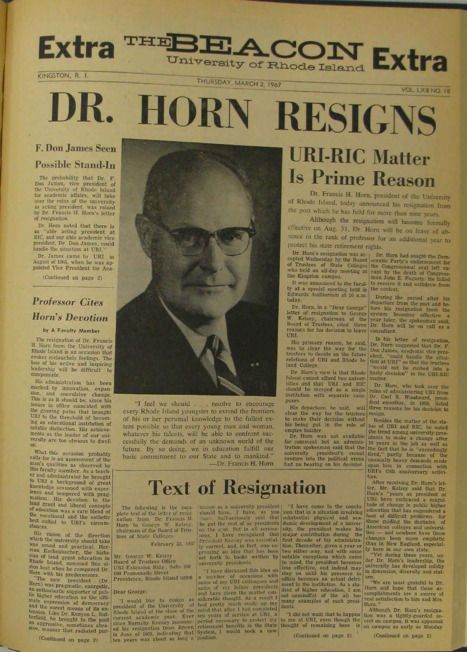# THEBEACON Extra Extra

#### KINGSTON, R. I.

THURSDAY, MARCH 2, 1967

**VOL. LXII NO. 18** 

# DR. HORN **RESIGNS**

### **F. Don James Seen Possible Stand-In**

The probability that Dr. F.<br>Don James, vice president of<br>the University of Rhode Island<br>for academic affairs, will take<br>over the reins of the university<br>as acting president, was raised by Dr. Francis H. Horn's letter of resignation.

Dr. Horn noted that there is<br>an "able acting president at<br>RIC, and our able academic vice<br>president, Dr. Don James, could<br>handle the situation at URI."

Dr. James came to URI in<br>August of 1965, when he was ap-<br>pointed Vice President for Aca-

(Continued on page 2)

### **Professor Cites Horn's Devotion**

#### by A Faculty Member

The resignation of Dr. Francis H. Horn from the University of Rhode Island is an occasion that evokes melancholy feelings. The loss of his active and inspiring leadership will be difficult to compensate.

His administration has been marked by innovation, expansion, and convulsive change. sion, and convulsive change.<br>This is as it should be, since his<br>tenure in office coincided with<br>the growing pains that brought<br>URI to the threshold of becoming an educational institution of<br>notable distinction. His achievements as the leader of our university are too obvious to dwell on.

What this occasion probably<br>calls for is an assessment of the<br>man's qualities as observed by man's qualities as observed by<br>this faculty member. As a teach-<br>er and administrator he brought<br>to URI a background of great<br>howledge seasoned with exper-<br>ience and tempered with prag-<br>matism. His devotion to the<br>land gran of education was a rare blend of<br>the vocational and the esthetic<br>best suited to URI's circumstances.

His vision of the direction<br>which the university should take<br>was sound and practical. Herman Eschenbacher, the historian<br>ran of land grant education in<br>Rhode Island, summed this vi-<br>sion best when he compared Dr.<br>Horn with

(Continued on page 2)



"I feel we should . . . resolve to encourage every Rhode Island youngster to extend the frontiers of his or her personal knowledge to the fullest extent possible so that every young man and woman, whatever his talents, will be able to confront successfully the demands of an unknown world of the future. By so doing, we in education fulfill our basic commitment to our State and to mankind." -Dr. Francis H. Horn

# **URI-RIC Matter Is Prime Reason**

Dr. Francis H. Horn, president of the University of Rhode Island, today announced his resignation from the post which he has held for more than nine years.

Although the resignation will become formally effective on Aug. 31, Dr. Horn will be on leave of absence in the rank of professor for an additional year to protect his state retirement rights.

It was announced to the faculty at a special meeting held in<br>Edwards Auditorium at 10 a.m. today

Dr. Horn, in a "Dear George" Francisco de la Francisco de la Francisco de la Francisco de la Board of Trustees, citado tivo<br>Board of Trustees, citado tivo<br>Francisco de Board of Trustees, citado tivo URI

His primary reason, he said,<br>was to clear the way for the<br>trustees to decide on the future<br>relations of URI and Rhode Island College.

Dr. Horn's view is that Rhode Island cannot afford two univer-<br>sities and that URI and RIC Dr. Eshould be merged as a single reins of institution with separate cam-

Dr. Horn's resignation was ac-<br>
or Br. Horn had sought the Dem-<br>
cepted Wednesday by the Board<br>
of Trustees of State Colleges the Congressional seat left va-<br>
of Trustees of State Colleges the Congressional seat left va-<br> to receive it and withdrew from the contest.

During the period after his<br>departure from the post and be-<br>fore his resignation from the<br>system becomes effective a<br>year later, the spokesman said,<br>Dr. Horn will be on call as a<br>consultant.

In his letter of resignation,<br>IDr. Horn suggested that Dr. F.<br>Don James, academic vice president, "could handle the situa-<br>tion at URI" so that the trustees<br>"would not be rushed into a<br>hasty decision" in the URI-RIC<br>natter

Frances.<br>
Dr. Horn, who took over the<br>
reins of administering URI from<br>
Dr. Carl R. Woodward, president emeritus, in 1958, listed<br>
three reasons for his decision to

His departure, he said, will three reasons for his decision to<br>His departure, he said, will three reasons for his decision to<br>clear the way for the trustees resign.<br>to make their decision without Besides the matter of the

ties,<br>
After receiving Dr. Horn's let-<br>
ter, Mr. Kelsey said that Dr.<br>
Horn's "years as president of<br>
URI have embraced a magni-<br>
tude of change in public higher<br>
education that has engendered a<br>
host of difficult problems

# **Text of Resignation**

The following is the connuo as a university president  $\begin{bmatrix} 18 \\ 100 \end{bmatrix}$ . The following is the connuo as a university president of the connect defined following the connect of the connect of the connect of the connect